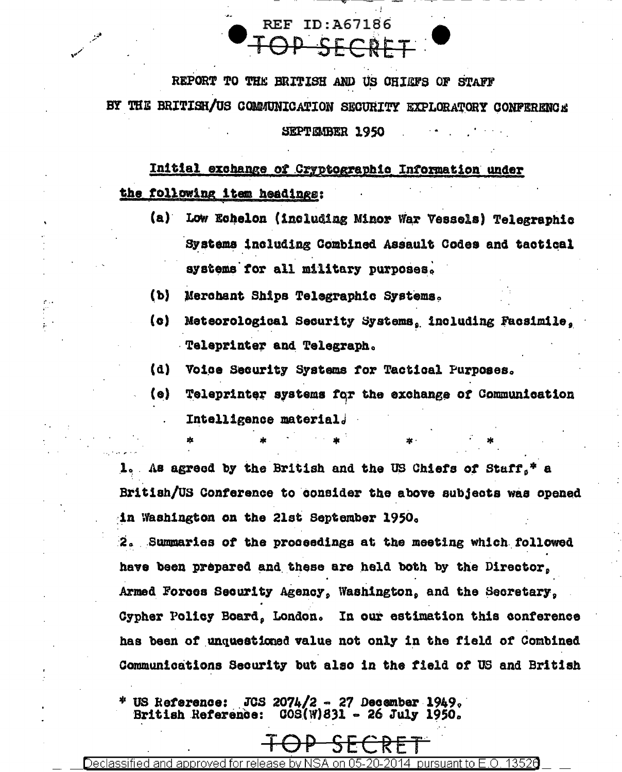

REPORT TO THE BRITISH AND US OHIGFS OF STAFF BY THE BRITISH/US COMMUNICATION SECURITY EXPLORATORY CONFERENCE

SEPTEMBER 1950

Initial exchange of Cryptographic Information under the following item headings:

- (a) Low Echelon (including Minor War Vessels) Telegraphic Systems including Combined Assault Codes and tactical systems for all military purposes.
- $(b)$ Merchant Ships Telegraphic Systems.
- $\{c\}$ Meteorological Security Systems, including Facsimile, Teleprinter and Telegraph.
- (d) Voice Security Systems for Tactical Purposes.
- (e) Teleprinter systems for the exchange of Communication Intelligence material.

1. As agreed by the British and the US Chiefs of Staff.\* a British/US Conference to consider the above subjects was opened in Washington on the 21st September 1950.

2. Summaries of the proceedings at the meeting which followed have been prepared and these are held both by the Director. Armed Forces Security Agency, Washington, and the Secretary, Cypher Policy Board, London. In our estimation this conference has been of unquestioned value not only in the field of Combined **Communications Security but also in the field of US and British** 

\* US Reference: JCS 2074/2 27 December 1949.  $COS(W)831 - 26$  July 1950. British Reference: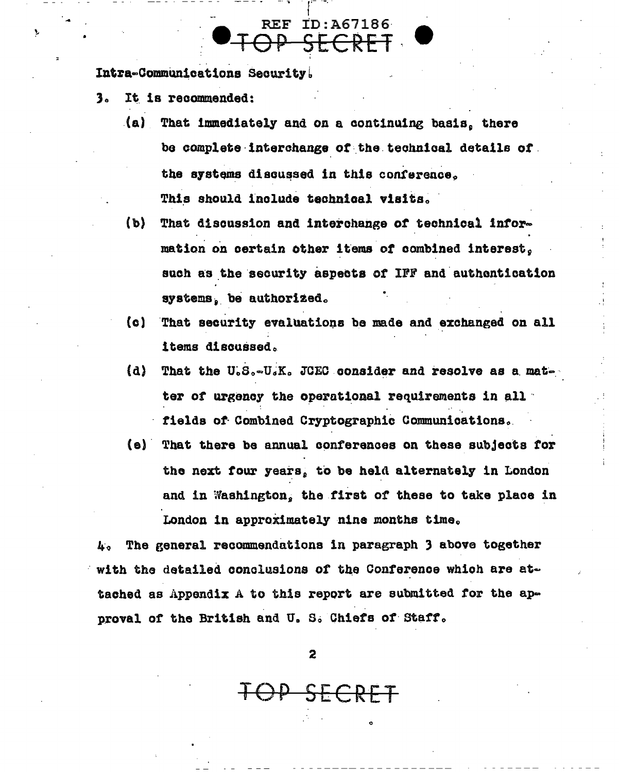Intra-Communications Security.

- It is recommended: з.
	- (a) That immediately and on a continuing basis, there be complete interchange of the technical details of the systems discussed in this conference. This should include technical visits.

**REF ID:A67186** TOP SECRET

- $(b)$ That discussion and interchange of technical information on certain other items of combined interest. such as the security aspects of IFF and authentication systems, be authorized.
- That security evaluations be made and exchanged on all  $(c)$ items discussed.
- That the U.S.-U.K. JCEC consider and resolve as a mat-(d) ter of urgency the operational requirements in all fields of Combined Cryptographic Communications.
- (e) That there be annual conferences on these subjects for the next four years, to be held alternately in London and in Washington, the first of these to take place in London in approximately nine months time.

The general recommendations in paragraph 3 above together 4. with the detailed conclusions of the Conference which are attached as Appendix A to this report are submitted for the approval of the British and U.S. Chiefs of Staff.

 $\mathbf{z}$ 

OP SECRET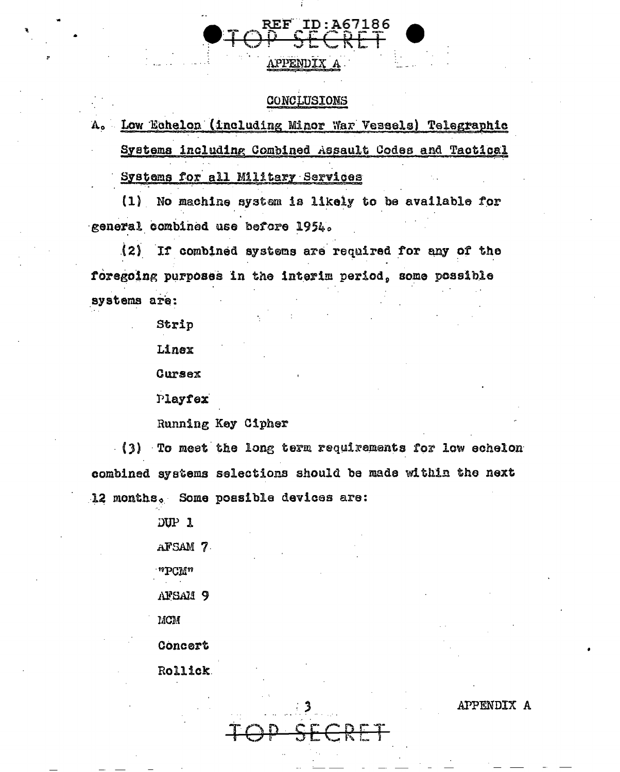## **CONCLUSIONS**

**APPENDIX** 

A. Low Echelon (including Minor War Vessels) Telegraphic Systems including Combined Assault Codes and Tactical

Systems for all Military Services

(1) No machine system is likely to be available for general combined use before 1954.

(2) If combined systems are required for any of the foregoing purposes in the interim period, some possible systems are:

Strip

Linex

Cursex

Playfex

Running Key Cipher

(3) To meet the long term requirements for low echelon combined systems selections should be made within the next 12 months. Some possible devices are:

DUP 1

AFSAM 7

"PCM"

AFSAM 9

MCM

Concert

Rollick

APPENDIX A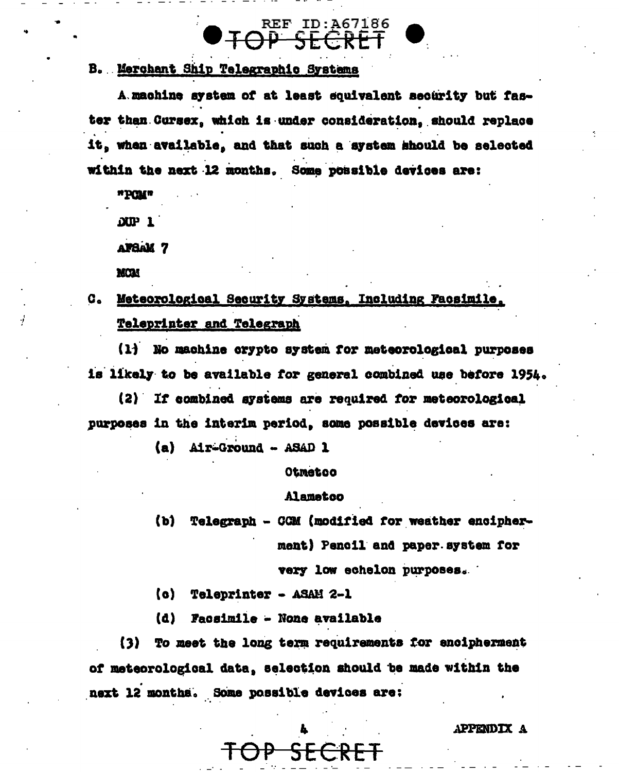**REF ID:A67186** 

# B. Merchant Ship Telegraphic Systems

A machine system of at least equivalent security but faster than Cursex, which is under consideration, should replace it, when available, and that such a system should be selected within the next 12 months. Some possible devices are:

a**b**CMa

 $DUP$  1

**AFSAM 7** 

MCAL

# a. Meteorological Security Systems, Including Facsimile, **Teleprinter and Telegraph**

(1) No machine crypto system for meteorological purposes is likely to be available for general combined use before 1954.

(2) If combined systems are required for meteorological purposes in the interim period, some possible devices are:

(a) Air-Ground - ASAD 1

Otmetoo

### Alamatoo

 $(b)$ Telegraph - CGM (modified for weather encipherment) Pencil and paper system for

very low echelon purposes.

(c) Teleprinter - ASAM 2-1

 $(d)$ **Facsimile - None available** 

(3) To meet the long term requirements for encipherment of meteorological data, selection should be made within the next 12 months. Some possible devices are:

SECRET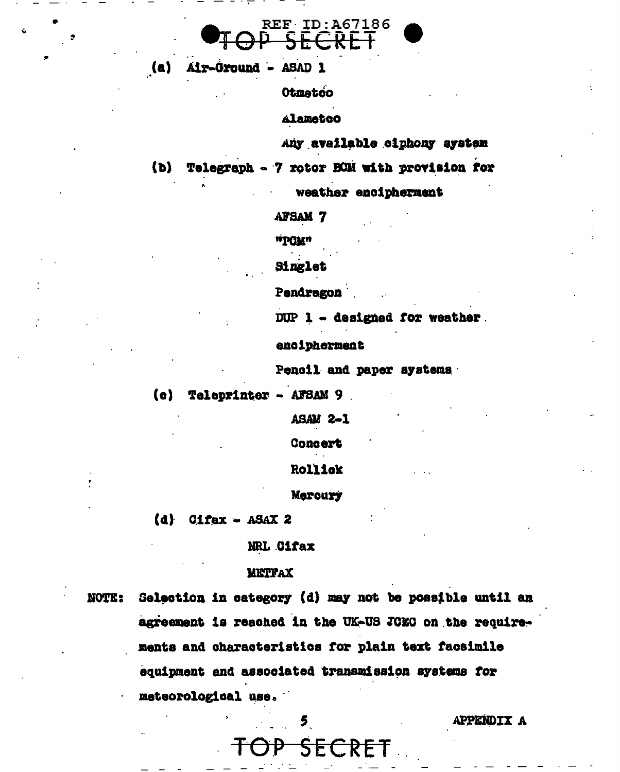

(a) Air-Ground - ASAD 1

Otmetoo

Alametco

Any available ciphony aystem

Telegraph - 7 rotor BOM with provision for  $(b)$ 

weather encipherment

**AFSAM 7** 

ulQNu

Singlet

Pendragon

DUP 1 - designed for weather.

encipherment

Pencil and paper systems

 $(a)$  Teleprinter - AFSAM 9

**ASAM 2-1** 

**Concert** 

Rollick

Mercury

 $(d)$  Cifax - ASAX 2

**NRL Cifax** 

#### **METFAX**

Selection in category (d) may not be possible until an **NOTE:** agreement is reached in the UK-US JOEC on the requirements and characteristics for plain text facsimile equipment and associated transmission systems for meteorological use.

 $5<sub>1</sub>$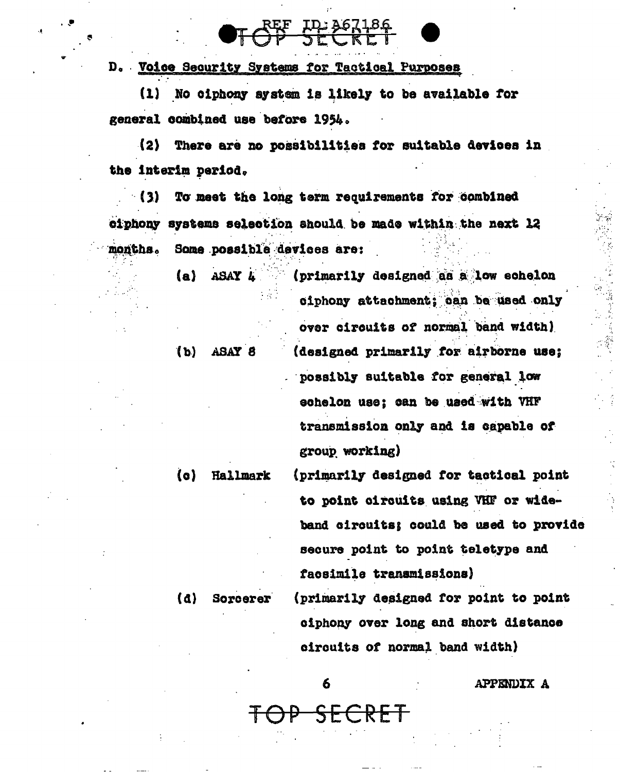D. Voice Security Systems for Tactical Purposes

(1) No ciphony system is likely to be available for general combined use before 1954.

(2) There are no possibilities for suitable devices in the interim period.

 $(3)$ To meet the long term requirements for combined ciphony systems selection should be made within the next 12 months. Some possible devices are:

> $(a)$  ASAY  $h$ (primarily designed as a low echelon

> > over circuits of normal band width) (designed primarily for airborne use; possibly suitable for general low echelon use; can be used with VHF transmission only and is capable of group working)

ciphony attachment; can be used only

(c) Hallmark

 $(b)$  ASAY  $8$ 

(primarily designed for tactical point to point circuits using VHF or wideband circuits; could be used to provide secure point to point teletype and facsimile transmissions)

(primarily designed for point to point ciphony over long and short distance circuits of normal band width)

Sorcerer

 $\mathbf{a}$ 

6

<del>SECRET</del>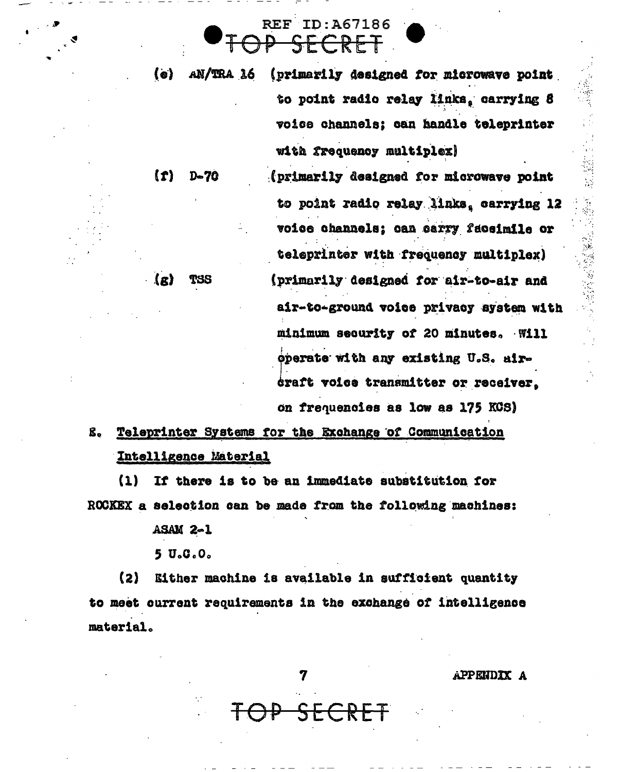AN/TRA 16 (primarily designed for microwave point  $\{o\}$ to point radio relay links, carrying 8 voice channels; can handle teleprinter with frequency multiplex)

**REF ID: A67186** 

ECRET

 $D-70$ (primarily designed for microwave point to point radio relay links, carrying 12 voice channels; can carry faceimile or teleprinter with frequency multiplex) (primarily designed for air-to-air and air-to-ground voice privacy system with minimum security of 20 minutes. Will operate with any existing U.S. aircraft voice transmitter or receiver. on frequencies as low as 175 KCS)

Teleprinter Systems for the Exchange of Communication g. Intelligence Material

 $(1)$ If there is to be an immediate substitution for ROCKEX a selection can be made from the following machines:

**ASAM 2-1** 

 $(1)$ 

 $\langle \mathbf{g} \rangle$ 

TSS

 $5U_0C_0C_0$ 

 $(2)$ Either machine is available in sufficient quantity to meet current requirements in the exchange of intelligence material.

APPENDIX A

计计算 医血管 医神经性神经病 医神经的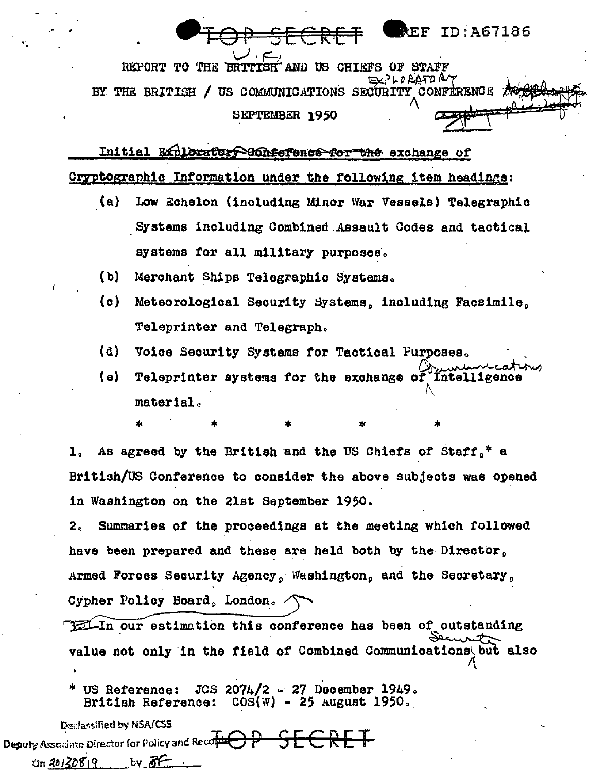REPORT TO THE BRITISH AND US CHIEFS OF STAFF EXPLOEATORY BY THE BRITISH / US COMMUNICATIONS SECURITY CONFERENCE TO SEPTEMBER 1950

REF ID:A67186

Initial Exhlorators Honfefence for the exchange of Cryptographic Information under the following item headings:

- $(a)$ Low Echelon (including Minor War Vessels) Telegraphic Systems including Combined Assault Codes and tactical systems for all military purposes.
- $(b)$ Merchant Ships Telegraphic Systems.
- $(a)$ Meteorological Security Systems, including Facsimile. Teleprinter and Telegraph.
- $(d)$ Voice Security Systems for Tactical Purposes.
- (e) Teleprinter systems for the exchange of Intelligence material.

As agreed by the British and the US Chiefs of Staff.<sup>\*</sup> a 1. British/US Conference to consider the above subjects was opened in Washington on the 21st September 1950.

 $2<sub>a</sub>$ Summaries of the proceedings at the meeting which followed have been prepared and these are held both by the Director. Armed Forces Security Agency, Washington, and the Secretary, Cypher Policy Board, London.

171 In our estimation this conference has been of outstanding value not only in the field of Combined Communications but also

 $JCS$  207 $L/2$  - 27 December 1949. US Reference: British Reference:  $COS(W) - 25$  August 1950.

Declassified by NSA/CSS Deputy Associate Director for Policy and Record by  $\delta F$  $0n 20130819$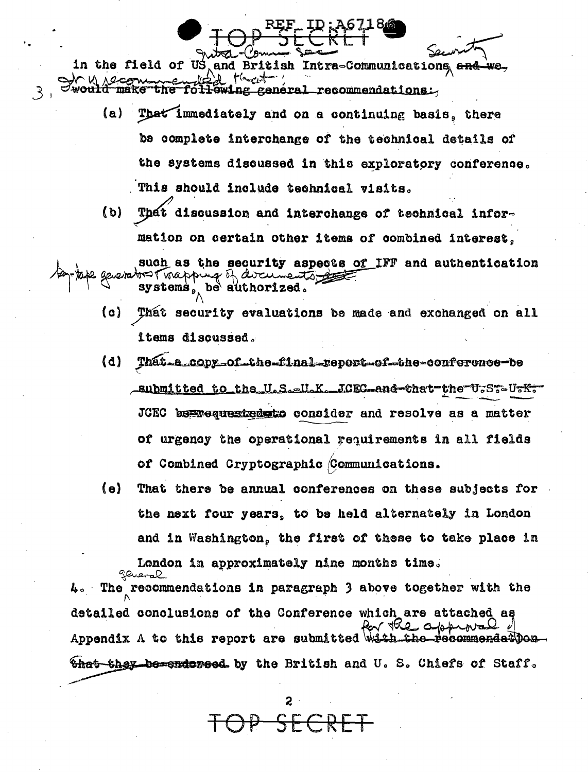in the field of US and British Intra-Communications and make general recommendations.

- That immediately and on a continuing basis, there (a) · be complete interchange of the technical details of the systems discussed in this exploratory conference. This should include technical visits.
- That discussion and interchange of technical infor- $(b)$ mation on certain other items of combined interest.

such as the security aspects of IFF and authentication e geverator T of of avannents a be authorized.  $systems$ 

- (c) That security evaluations be made and exchanged on all items discussed.
- That a copy of the final report of the conference be  $(d)$ aubmitted to the U.S.EU.K. JCEC-and-that the U-ST-U-K-JCEC bespequested stated consider and resolve as a matter of urgency the operational requirements in all fields of Combined Cryptographic (Communications.
- (a) That there be annual conferences on these subjects for the next four years, to be held alternately in London and in Washington, the first of these to take place in London in approximately nine months time.

4. The recommendations in paragraph 3 above together with the detailed conclusions of the Conference which are attached as Appendix A to this report are submitted with the-\_pecommendetDon\_ <del>that they be endorsed</del> by the British and U.S. Chiefs of Staff.

 $\epsilon$   $\epsilon$   $\epsilon$   $\epsilon$   $\epsilon$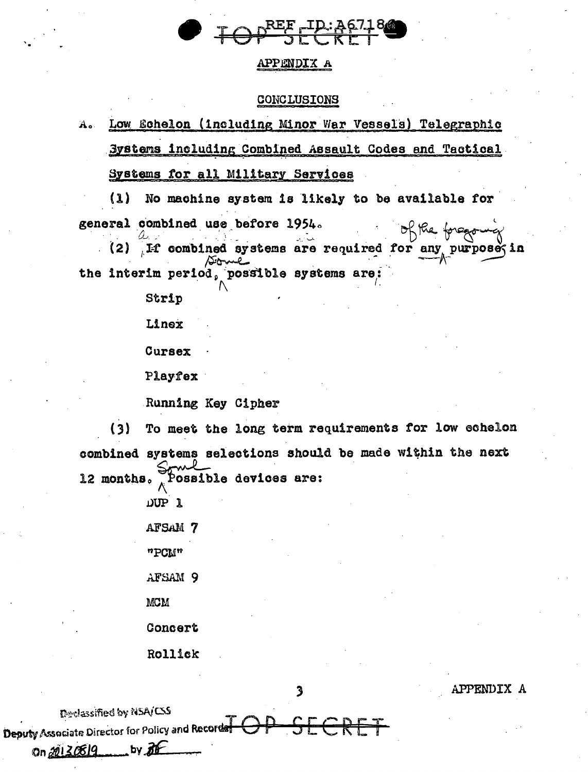

#### APPENDIX A

#### CONCLUSIONS

Low Echelon (including Minor War Vessels) Telegraphic  $A<sub>o</sub>$ Systems including Combined Assault Codes and Tactical Systems for all Military Services

 $(1)$ No machine system is likely to be available for general combined use before 1954. of the forego

(2) If combined systems are required for any purpose in the interim period, possible systems are:

Strip

Linex

Cursex

Playfex

Running Key Cipher

To meet the long term requirements for low echelon  $(3)$ combined systems selections should be made within the next 12 months.  $\bar{A}$ Possible devices are:

3

DUP 1

AFSAM 7

"PCM"

AFSAM 9

**MCM** 

Concert

Rollick

Declassified by NSA/CSS

On 20130819

Deputy Associate Director for Policy and Recorde

by the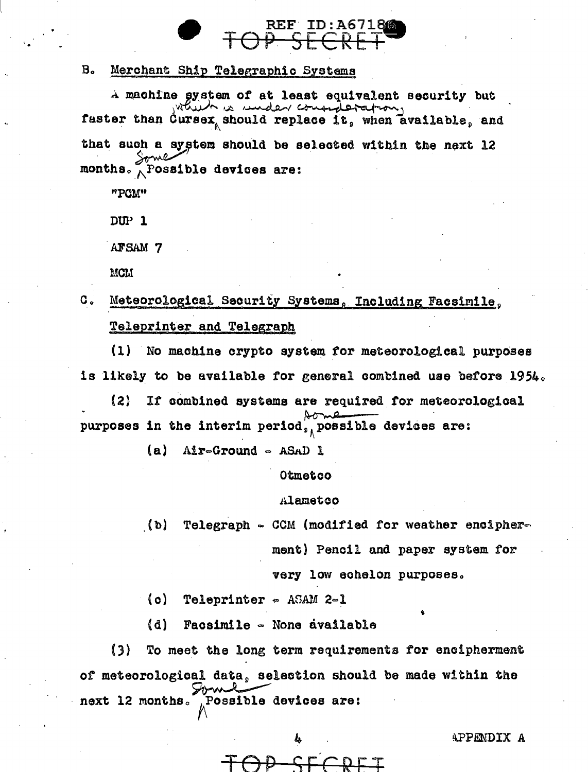

#### B. Merchant Ship Telegraphic Systems

4 machine system of at least equivalent security but <br>which is under consideration. faster than Cursex should replace it, when available, and that such a system should be selected within the next 12 months.  $\bigwedge$  Possible devices are:

"PCM"

DUP 1

.AFSAM 7

MCM

# C. Meteorological Security Systems, Including Facsimile. Teleprinter and Telegraph

 $(1)$  No machine crypto system for meteorological purposes is likely to be available for general combined use before  $1954$ .

(2) It combined systems are required tor meteorological Is likely to be available for general contined use be.<br>(2) If combined systems are required for meteoro.<br>purposes in the interim period, possible devices are:

 $(a)$  Air-Ground - ASAD 1

Otmetco

#### .1uametoo

 $\bullet$  (b) Telegraph  $\circ$  CCM (modified for weather encipher.

ment) Pencil and paper system for

very low echelon purposes.

 $(o)$  Teleprinter  $\in$  ASAM 2-1

(d) Facsimile - None available

(J) To meet the long term requirements tor encipherment of meteorological data, t the long term requi:<br>al data, selection show<br>show a devices are selection should be made within the next 12 months. Possible devices are:

TOP SECRET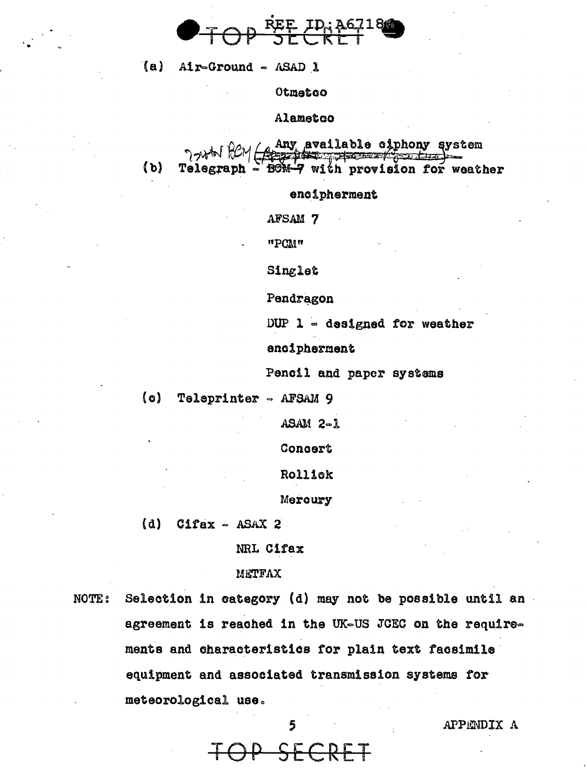

(a) Air-Ground - ASAD 1

Otmetoo

Alametco

Any available ciphony system<br>
<del>1994–9</del> with provision for weather  $(b)$ Telegraph

encipherment

AFSAM 7

"PCM"

Singlet

Pendragon

DUP  $l =$  designed for weather

encipherment

Pencil and paper systems

 $\{o\}$ Teleprinter - AFSAM 9

 $ASAM 2-1$ 

Concert

Rollick

Mercury

 $(d)$  $Cifax - ASAX 2$ 

NRL Cifax

METFAX

Selection in category (d) may not be possible until an **NOTE:** agreement is reached in the UK-US JCEC on the requirements and characteristics for plain text facsimile equipment and associated transmission systems for meteorological use.

APPENDIX A

<del>P SE</del>

5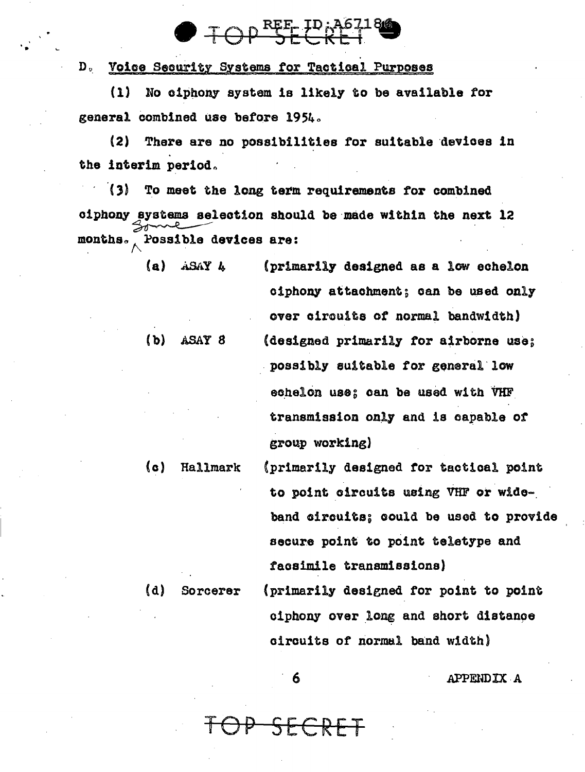Do Voice Seomrity Systems *tor* Tactical Purposes

•

(1) No oiphony system is likely to be available tor general combined use before 1954.

 $\bigcirc$  TOP SECRET

(2) There are no possibilities for suitable devices in the interim period.

(3) To meet the long term requirements for combined (3) To meet the long term<br>oiphony systems selection shou,<br>months. Possible devices are: ciphony systems selection should be made within the next 12

|               | ciphony attachment; can be used only  |
|---------------|---------------------------------------|
|               | over circuits of normal bandwidth)    |
| (b)<br>ASAY 8 | (designed primarily for airborne use; |
|               | possibly suitable for general low     |
|               | echelon use; can be used with VHF     |
|               | transmission only and is capable of   |
|               | group working)                        |

(c) Hallmark (primarily designed tor tactical point to point circuits using VHF or wideband oircuits; could be usod to provide secure point to point teletype and taosimile transmissions) (d) Sorcerer (primarily designed for point to point

ciphony over long and short distance circuits of normal band width)

6 .APPElIDIX ·A

 $SF$